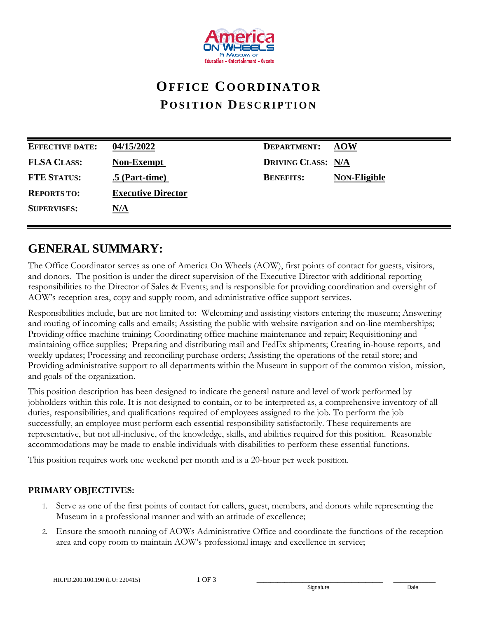

# **OF F I C E CO O R D I N A T O R POSITION DESCRIPTION**

| <b>EFFECTIVE DATE:</b> | 04/15/2022                | <b>DEPARTMENT:</b>        | <b>AOW</b>          |
|------------------------|---------------------------|---------------------------|---------------------|
| <b>FLSA CLASS:</b>     | <b>Non-Exempt</b>         | <b>DRIVING CLASS: N/A</b> |                     |
| <b>FTE STATUS:</b>     | $.5$ (Part-time)          | <b>BENEFITS:</b>          | <b>NON-Eligible</b> |
| <b>REPORTS TO:</b>     | <b>Executive Director</b> |                           |                     |
| <b>SUPERVISES:</b>     | <u>N/A</u>                |                           |                     |
|                        |                           |                           |                     |

## **GENERAL SUMMARY:**

The Office Coordinator serves as one of America On Wheels (AOW), first points of contact for guests, visitors, and donors. The position is under the direct supervision of the Executive Director with additional reporting responsibilities to the Director of Sales & Events; and is responsible for providing coordination and oversight of AOW's reception area, copy and supply room, and administrative office support services.

Responsibilities include, but are not limited to: Welcoming and assisting visitors entering the museum; Answering and routing of incoming calls and emails; Assisting the public with website navigation and on-line memberships; Providing office machine training; Coordinating office machine maintenance and repair; Requisitioning and maintaining office supplies; Preparing and distributing mail and FedEx shipments; Creating in-house reports, and weekly updates; Processing and reconciling purchase orders; Assisting the operations of the retail store; and Providing administrative support to all departments within the Museum in support of the common vision, mission, and goals of the organization.

This position description has been designed to indicate the general nature and level of work performed by jobholders within this role. It is not designed to contain, or to be interpreted as, a comprehensive inventory of all duties, responsibilities, and qualifications required of employees assigned to the job. To perform the job successfully, an employee must perform each essential responsibility satisfactorily. These requirements are representative, but not all-inclusive, of the knowledge, skills, and abilities required for this position. Reasonable accommodations may be made to enable individuals with disabilities to perform these essential functions.

This position requires work one weekend per month and is a 20-hour per week position.

### **PRIMARY OBJECTIVES:**

- 1. Serve as one of the first points of contact for callers, guest, members, and donors while representing the Museum in a professional manner and with an attitude of excellence;
- 2. Ensure the smooth running of AOWs Administrative Office and coordinate the functions of the reception area and copy room to maintain AOW's professional image and excellence in service;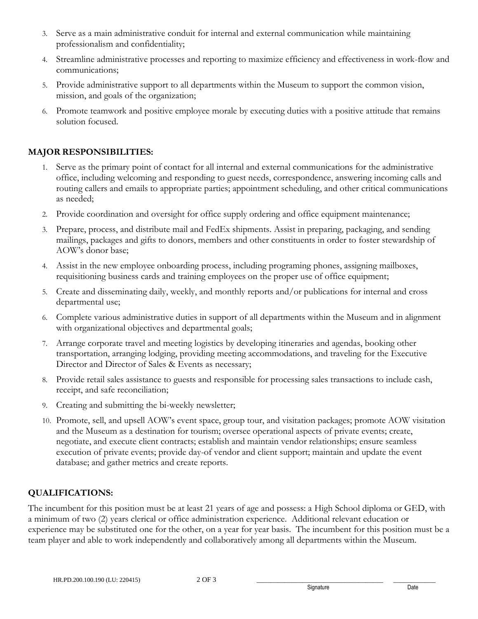- 3. Serve as a main administrative conduit for internal and external communication while maintaining professionalism and confidentiality;
- 4. Streamline administrative processes and reporting to maximize efficiency and effectiveness in work-flow and communications;
- 5. Provide administrative support to all departments within the Museum to support the common vision, mission, and goals of the organization;
- 6. Promote teamwork and positive employee morale by executing duties with a positive attitude that remains solution focused.

### **MAJOR RESPONSIBILITIES:**

- 1. Serve as the primary point of contact for all internal and external communications for the administrative office, including welcoming and responding to guest needs, correspondence, answering incoming calls and routing callers and emails to appropriate parties; appointment scheduling, and other critical communications as needed;
- 2. Provide coordination and oversight for office supply ordering and office equipment maintenance;
- 3. Prepare, process, and distribute mail and FedEx shipments. Assist in preparing, packaging, and sending mailings, packages and gifts to donors, members and other constituents in order to foster stewardship of AOW's donor base;
- 4. Assist in the new employee onboarding process, including programing phones, assigning mailboxes, requisitioning business cards and training employees on the proper use of office equipment;
- 5. Create and disseminating daily, weekly, and monthly reports and/or publications for internal and cross departmental use;
- 6. Complete various administrative duties in support of all departments within the Museum and in alignment with organizational objectives and departmental goals;
- 7. Arrange corporate travel and meeting logistics by developing itineraries and agendas, booking other transportation, arranging lodging, providing meeting accommodations, and traveling for the Executive Director and Director of Sales & Events as necessary;
- 8. Provide retail sales assistance to guests and responsible for processing sales transactions to include cash, receipt, and safe reconciliation;
- 9. Creating and submitting the bi-weekly newsletter;
- 10. Promote, sell, and upsell AOW's event space, group tour, and visitation packages; promote AOW visitation and the Museum as a destination for tourism; oversee operational aspects of private events; create, negotiate, and execute client contracts; establish and maintain vendor relationships; ensure seamless execution of private events; provide day-of vendor and client support; maintain and update the event database; and gather metrics and create reports.

### **QUALIFICATIONS:**

The incumbent for this position must be at least 21 years of age and possess: a High School diploma or GED, with a minimum of two (2) years clerical or office administration experience. Additional relevant education or experience may be substituted one for the other, on a year for year basis. The incumbent for this position must be a team player and able to work independently and collaboratively among all departments within the Museum.